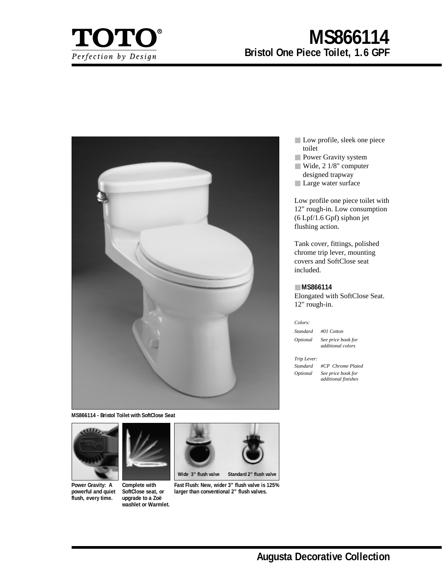

# **MS866114 Bristol One Piece Toilet, 1.6 GPF**



**MS866114 - Bristol Toilet with SoftClose Seat**



**Power Gravity: A powerful and quiet flush, every time.**



**Complete with SoftClose seat, or upgrade to a Zoë washlet or Warmlet.**



**Fast Flush: New, wider 3" flush valve is 125% larger than conventional 2" flush valves.**

- Low profile, sleek one piece toilet
- Power Gravity system
- Wide, 2 1/8" computer designed trapway
- Large water surface

Low profile one piece toilet with 12" rough-in. Low consumption (6 Lpf/1.6 Gpf) siphon jet flushing action.

Tank cover, fittings, polished chrome trip lever, mounting covers and SoftClose seat included.

# ■ **MS866114**

Elongated with SoftClose Seat. 12" rough-in.

#### *Colors:*

*Standard #01 Cotton Optional See price book for* 

*additional colors*

*Trip Lever:*

*Standard #CP Chrome Plated Optional See price book for additional finishes*